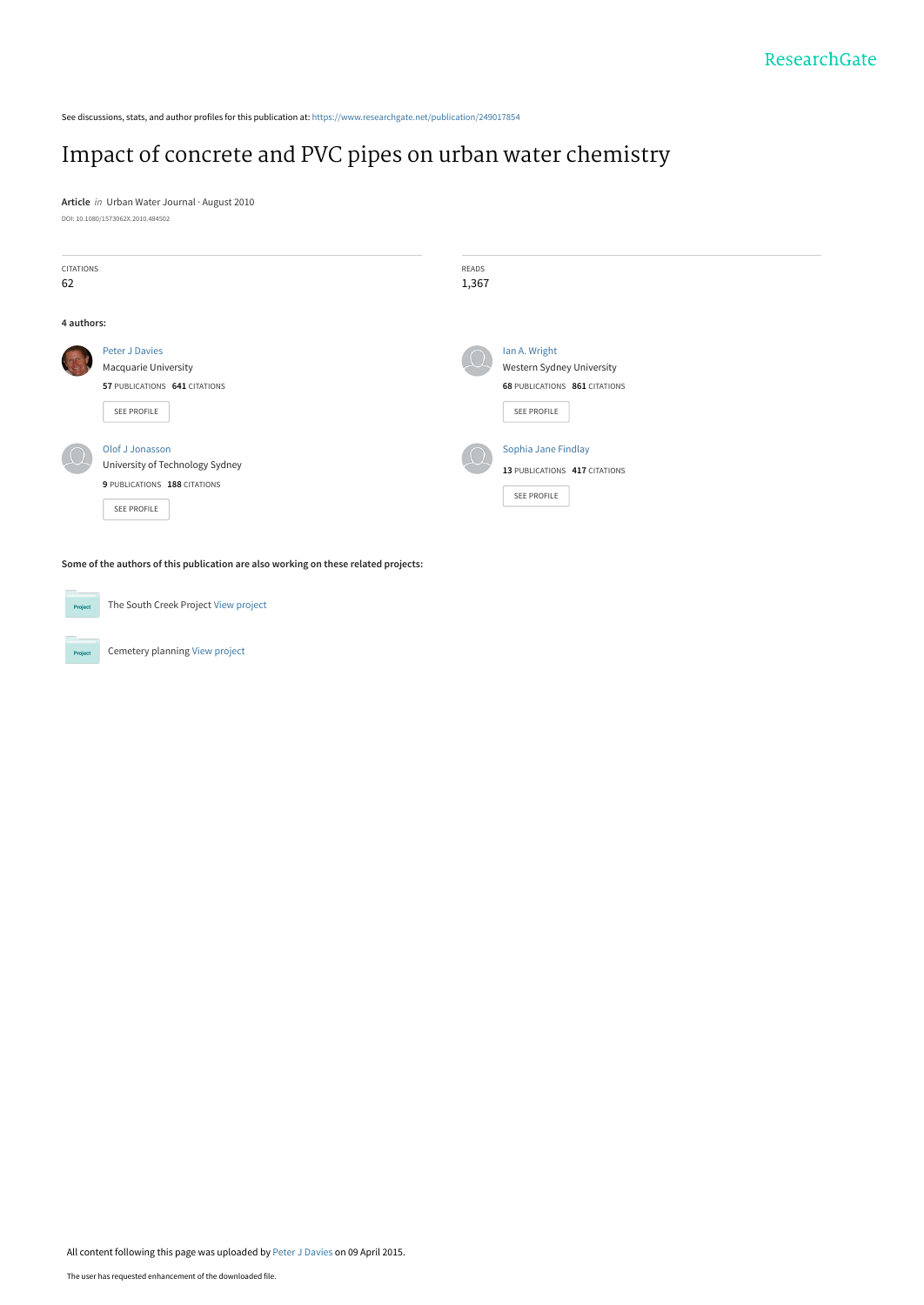See discussions, stats, and author profiles for this publication at: [https://www.researchgate.net/publication/249017854](https://www.researchgate.net/publication/249017854_Impact_of_concrete_and_PVC_pipes_on_urban_water_chemistry?enrichId=rgreq-11b951188fa736492128269c73a13d59-XXX&enrichSource=Y292ZXJQYWdlOzI0OTAxNzg1NDtBUzoyMTY0NjkwNzQ5MTEyMzNAMTQyODYyMTY1NzM2Nw%3D%3D&el=1_x_2&_esc=publicationCoverPdf)

## [Impact of concrete and PVC pipes on urban water chemistry](https://www.researchgate.net/publication/249017854_Impact_of_concrete_and_PVC_pipes_on_urban_water_chemistry?enrichId=rgreq-11b951188fa736492128269c73a13d59-XXX&enrichSource=Y292ZXJQYWdlOzI0OTAxNzg1NDtBUzoyMTY0NjkwNzQ5MTEyMzNAMTQyODYyMTY1NzM2Nw%3D%3D&el=1_x_3&_esc=publicationCoverPdf)

**Article** in Urban Water Journal · August 2010 DOI: 10.1080/1573062X.2010.484502

| CITATIONS<br>62 |                                                                                                   | READS<br>1,367 |                                                                                                   |
|-----------------|---------------------------------------------------------------------------------------------------|----------------|---------------------------------------------------------------------------------------------------|
| 4 authors:      |                                                                                                   |                |                                                                                                   |
| <b>RE</b>       | <b>Peter J Davies</b><br>Macquarie University<br>57 PUBLICATIONS 641 CITATIONS<br>SEE PROFILE     |                | Ian A. Wright<br>Western Sydney University<br><b>68 PUBLICATIONS 861 CITATIONS</b><br>SEE PROFILE |
|                 | Olof J Jonasson<br>University of Technology Sydney<br>9 PUBLICATIONS 188 CITATIONS<br>SEE PROFILE |                | Sophia Jane Findlay<br>13 PUBLICATIONS 417 CITATIONS<br>SEE PROFILE                               |

**Some of the authors of this publication are also working on these related projects:**

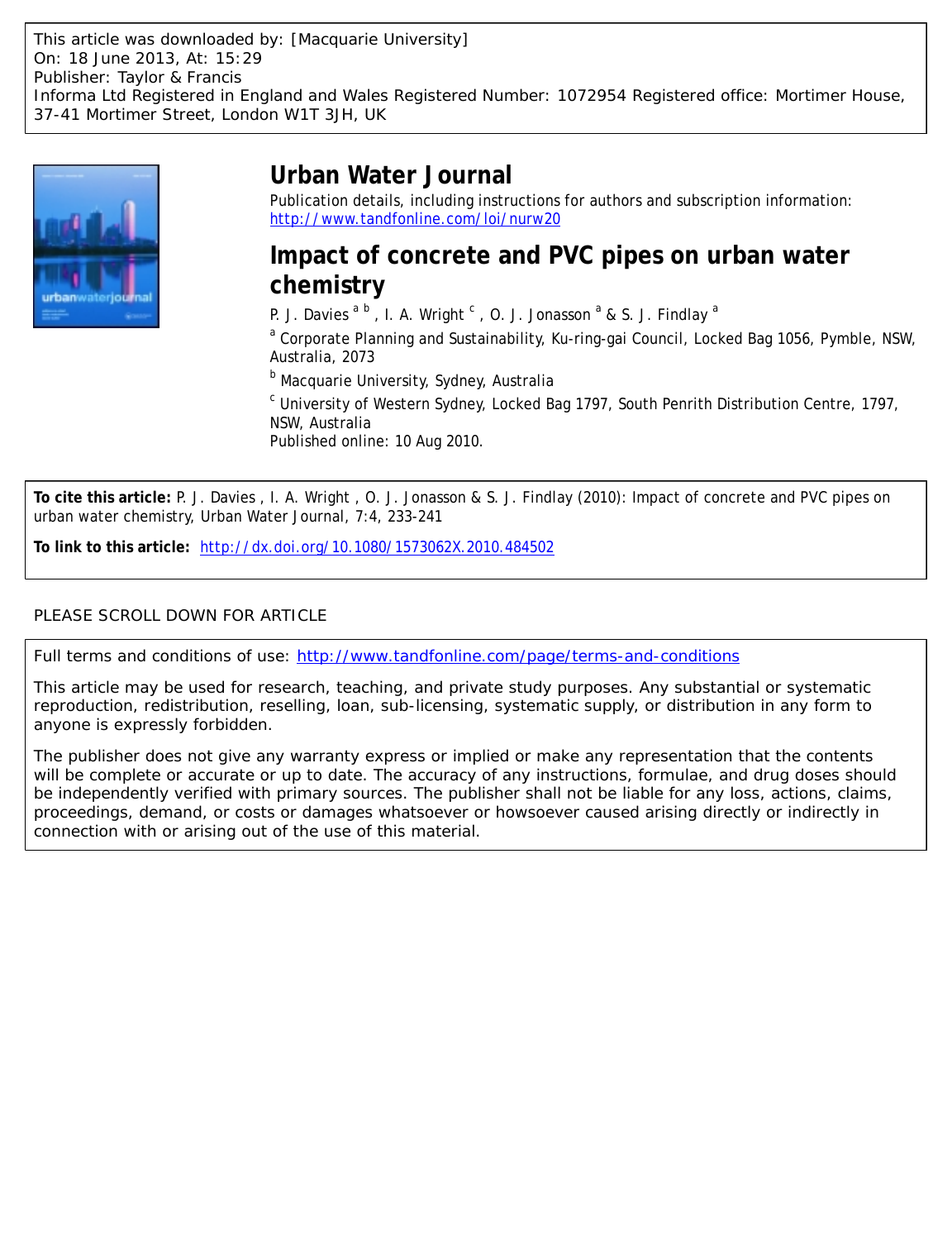

# **Urban Water Journal**

Publication details, including instructions for authors and subscription information: <http://www.tandfonline.com/loi/nurw20>

## **Impact of concrete and PVC pipes on urban water chemistry**

P. J. Davies  $a^b$ , I. A. Wright  $c$ , O. J. Jonasson  $^a$  & S. J. Findlay  $^a$ 

<sup>a</sup> Corporate Planning and Sustainability, Ku-ring-gai Council, Locked Bag 1056, Pymble, NSW, Australia, 2073

<sup>b</sup> Macquarie University, Sydney, Australia

<sup>c</sup> University of Western Sydney, Locked Bag 1797, South Penrith Distribution Centre, 1797, NSW, Australia

Published online: 10 Aug 2010.

**To cite this article:** P. J. Davies , I. A. Wright , O. J. Jonasson & S. J. Findlay (2010): Impact of concrete and PVC pipes on urban water chemistry, Urban Water Journal, 7:4, 233-241

**To link to this article:** <http://dx.doi.org/10.1080/1573062X.2010.484502>

## PLEASE SCROLL DOWN FOR ARTICLE

Full terms and conditions of use:<http://www.tandfonline.com/page/terms-and-conditions>

This article may be used for research, teaching, and private study purposes. Any substantial or systematic reproduction, redistribution, reselling, loan, sub-licensing, systematic supply, or distribution in any form to anyone is expressly forbidden.

The publisher does not give any warranty express or implied or make any representation that the contents will be complete or accurate or up to date. The accuracy of any instructions, formulae, and drug doses should be independently verified with primary sources. The publisher shall not be liable for any loss, actions, claims, proceedings, demand, or costs or damages whatsoever or howsoever caused arising directly or indirectly in connection with or arising out of the use of this material.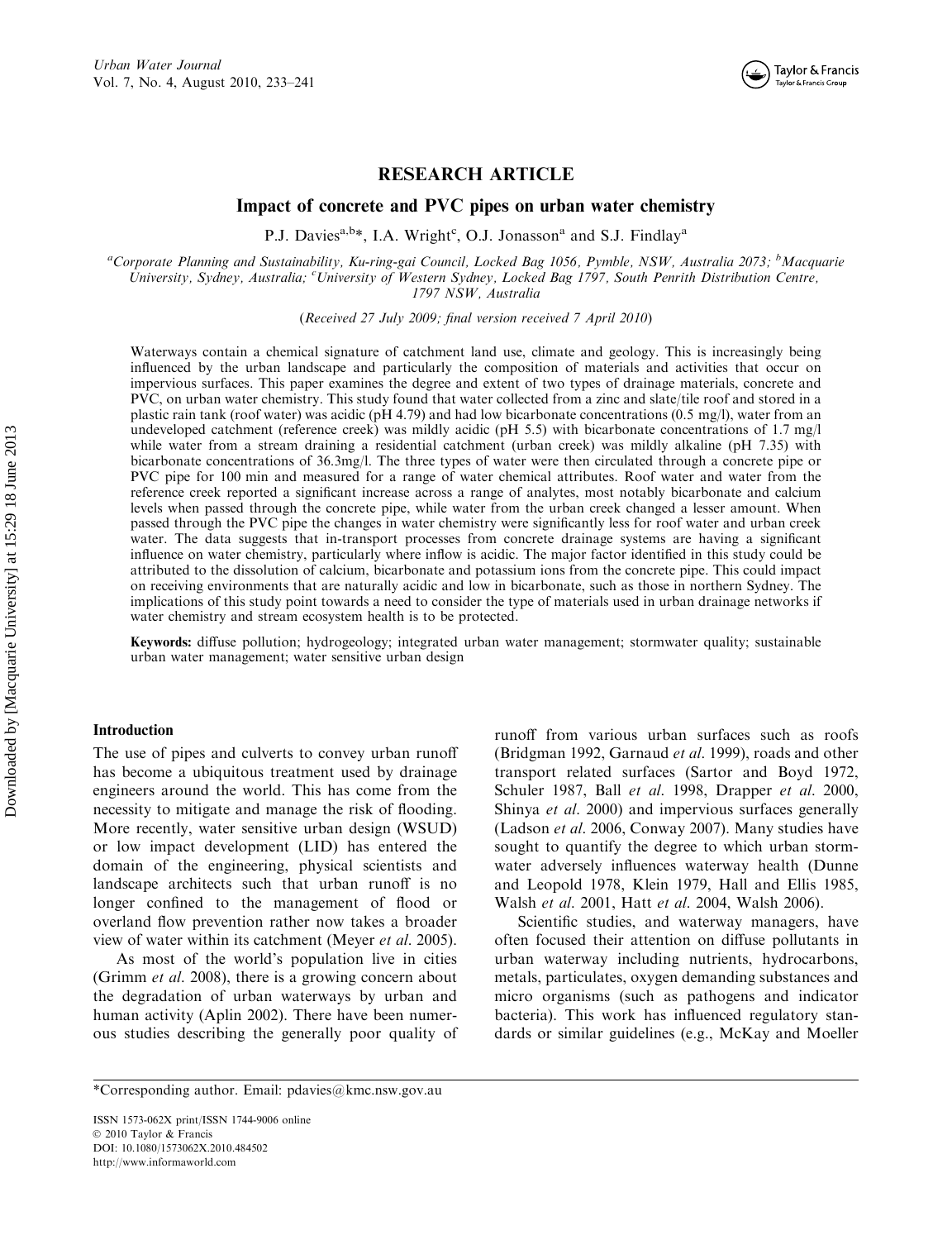

## RESEARCH ARTICLE

Impact of concrete and PVC pipes on urban water chemistry

P.J. Davies<sup>a,b\*</sup>, I.A. Wright<sup>c</sup>, O.J. Jonasson<sup>a</sup> and S.J. Findlay<sup>a</sup>

<sup>a</sup>Corporate Planning and Sustainability, Ku-ring-gai Council, Locked Bag 1056, Pymble, NSW, Australia 2073; <sup>b</sup>Macquarie University, Sydney, Australia; <sup>c</sup>University of Western Sydney, Locked Bag 1797, South Penrith Distribution Centre, 1797 NSW, Australia

(Received 27 July 2009; final version received 7 April 2010)

Waterways contain a chemical signature of catchment land use, climate and geology. This is increasingly being influenced by the urban landscape and particularly the composition of materials and activities that occur on impervious surfaces. This paper examines the degree and extent of two types of drainage materials, concrete and PVC, on urban water chemistry. This study found that water collected from a zinc and slate/tile roof and stored in a plastic rain tank (roof water) was acidic (pH 4.79) and had low bicarbonate concentrations (0.5 mg/l), water from an undeveloped catchment (reference creek) was mildly acidic (pH 5.5) with bicarbonate concentrations of 1.7 mg/l while water from a stream draining a residential catchment (urban creek) was mildly alkaline (pH 7.35) with bicarbonate concentrations of 36.3mg/l. The three types of water were then circulated through a concrete pipe or PVC pipe for 100 min and measured for a range of water chemical attributes. Roof water and water from the reference creek reported a significant increase across a range of analytes, most notably bicarbonate and calcium levels when passed through the concrete pipe, while water from the urban creek changed a lesser amount. When passed through the PVC pipe the changes in water chemistry were significantly less for roof water and urban creek water. The data suggests that in-transport processes from concrete drainage systems are having a significant influence on water chemistry, particularly where inflow is acidic. The major factor identified in this study could be attributed to the dissolution of calcium, bicarbonate and potassium ions from the concrete pipe. This could impact on receiving environments that are naturally acidic and low in bicarbonate, such as those in northern Sydney. The implications of this study point towards a need to consider the type of materials used in urban drainage networks if water chemistry and stream ecosystem health is to be protected.

Keywords: diffuse pollution; hydrogeology; integrated urban water management; stormwater quality; sustainable urban water management; water sensitive urban design

#### Introduction

The use of pipes and culverts to convey urban runoff has become a ubiquitous treatment used by drainage engineers around the world. This has come from the necessity to mitigate and manage the risk of flooding. More recently, water sensitive urban design (WSUD) or low impact development (LID) has entered the domain of the engineering, physical scientists and landscape architects such that urban runoff is no longer confined to the management of flood or overland flow prevention rather now takes a broader view of water within its catchment (Meyer et al. 2005).

As most of the world's population live in cities (Grimm et al. 2008), there is a growing concern about the degradation of urban waterways by urban and human activity (Aplin 2002). There have been numerous studies describing the generally poor quality of

runoff from various urban surfaces such as roofs (Bridgman 1992, Garnaud et al. 1999), roads and other transport related surfaces (Sartor and Boyd 1972, Schuler 1987, Ball et al. 1998, Drapper et al. 2000, Shinya et al. 2000) and impervious surfaces generally (Ladson et al. 2006, Conway 2007). Many studies have sought to quantify the degree to which urban stormwater adversely influences waterway health (Dunne and Leopold 1978, Klein 1979, Hall and Ellis 1985, Walsh et al. 2001, Hatt et al. 2004, Walsh 2006).

Scientific studies, and waterway managers, have often focused their attention on diffuse pollutants in urban waterway including nutrients, hydrocarbons, metals, particulates, oxygen demanding substances and micro organisms (such as pathogens and indicator bacteria). This work has influenced regulatory standards or similar guidelines (e.g., McKay and Moeller

ISSN 1573-062X print/ISSN 1744-9006 online © 2010 Taylor & Francis DOI: 10.1080/1573062X.2010.484502 http://www.informaworld.com

<sup>\*</sup>Corresponding author. Email: pdavies@kmc.nsw.gov.au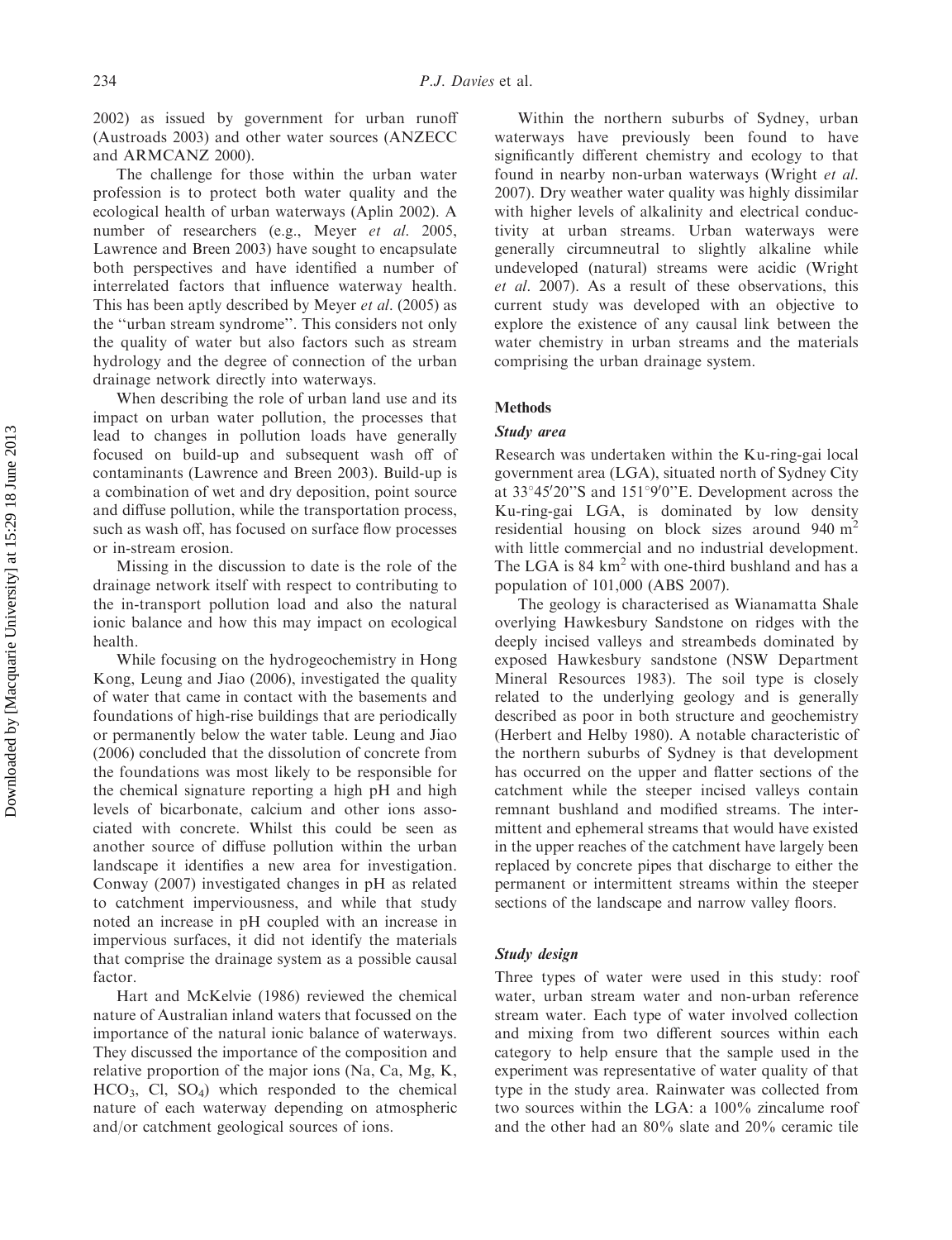2002) as issued by government for urban runoff (Austroads 2003) and other water sources (ANZECC and ARMCANZ 2000).

The challenge for those within the urban water profession is to protect both water quality and the ecological health of urban waterways (Aplin 2002). A number of researchers (e.g., Meyer et al. 2005, Lawrence and Breen 2003) have sought to encapsulate both perspectives and have identified a number of interrelated factors that influence waterway health. This has been aptly described by Meyer et al. (2005) as the ''urban stream syndrome''. This considers not only the quality of water but also factors such as stream hydrology and the degree of connection of the urban drainage network directly into waterways.

When describing the role of urban land use and its impact on urban water pollution, the processes that lead to changes in pollution loads have generally focused on build-up and subsequent wash off of contaminants (Lawrence and Breen 2003). Build-up is a combination of wet and dry deposition, point source and diffuse pollution, while the transportation process, such as wash off, has focused on surface flow processes or in-stream erosion.

Missing in the discussion to date is the role of the drainage network itself with respect to contributing to the in-transport pollution load and also the natural ionic balance and how this may impact on ecological health.

While focusing on the hydrogeochemistry in Hong Kong, Leung and Jiao (2006), investigated the quality of water that came in contact with the basements and foundations of high-rise buildings that are periodically or permanently below the water table. Leung and Jiao (2006) concluded that the dissolution of concrete from the foundations was most likely to be responsible for the chemical signature reporting a high pH and high levels of bicarbonate, calcium and other ions associated with concrete. Whilst this could be seen as another source of diffuse pollution within the urban landscape it identifies a new area for investigation. Conway (2007) investigated changes in pH as related to catchment imperviousness, and while that study noted an increase in pH coupled with an increase in impervious surfaces, it did not identify the materials that comprise the drainage system as a possible causal factor.

Hart and McKelvie (1986) reviewed the chemical nature of Australian inland waters that focussed on the importance of the natural ionic balance of waterways. They discussed the importance of the composition and relative proportion of the major ions (Na, Ca, Mg, K,  $HCO<sub>3</sub>$ , Cl, SO<sub>4</sub>) which responded to the chemical nature of each waterway depending on atmospheric and/or catchment geological sources of ions.

Within the northern suburbs of Sydney, urban waterways have previously been found to have significantly different chemistry and ecology to that found in nearby non-urban waterways (Wright et al. 2007). Dry weather water quality was highly dissimilar with higher levels of alkalinity and electrical conductivity at urban streams. Urban waterways were generally circumneutral to slightly alkaline while undeveloped (natural) streams were acidic (Wright et al. 2007). As a result of these observations, this current study was developed with an objective to explore the existence of any causal link between the water chemistry in urban streams and the materials comprising the urban drainage system.

#### Methods

#### Study area

Research was undertaken within the Ku-ring-gai local government area (LGA), situated north of Sydney City at 33°45'20"S and 151°9'0"E. Development across the Ku-ring-gai LGA, is dominated by low density residential housing on block sizes around 940  $m<sup>2</sup>$ with little commercial and no industrial development. The LGA is  $84 \text{ km}^2$  with one-third bushland and has a population of 101,000 (ABS 2007).

The geology is characterised as Wianamatta Shale overlying Hawkesbury Sandstone on ridges with the deeply incised valleys and streambeds dominated by exposed Hawkesbury sandstone (NSW Department Mineral Resources 1983). The soil type is closely related to the underlying geology and is generally described as poor in both structure and geochemistry (Herbert and Helby 1980). A notable characteristic of the northern suburbs of Sydney is that development has occurred on the upper and flatter sections of the catchment while the steeper incised valleys contain remnant bushland and modified streams. The intermittent and ephemeral streams that would have existed in the upper reaches of the catchment have largely been replaced by concrete pipes that discharge to either the permanent or intermittent streams within the steeper sections of the landscape and narrow valley floors.

#### Study design

Three types of water were used in this study: roof water, urban stream water and non-urban reference stream water. Each type of water involved collection and mixing from two different sources within each category to help ensure that the sample used in the experiment was representative of water quality of that type in the study area. Rainwater was collected from two sources within the LGA: a 100% zincalume roof and the other had an 80% slate and 20% ceramic tile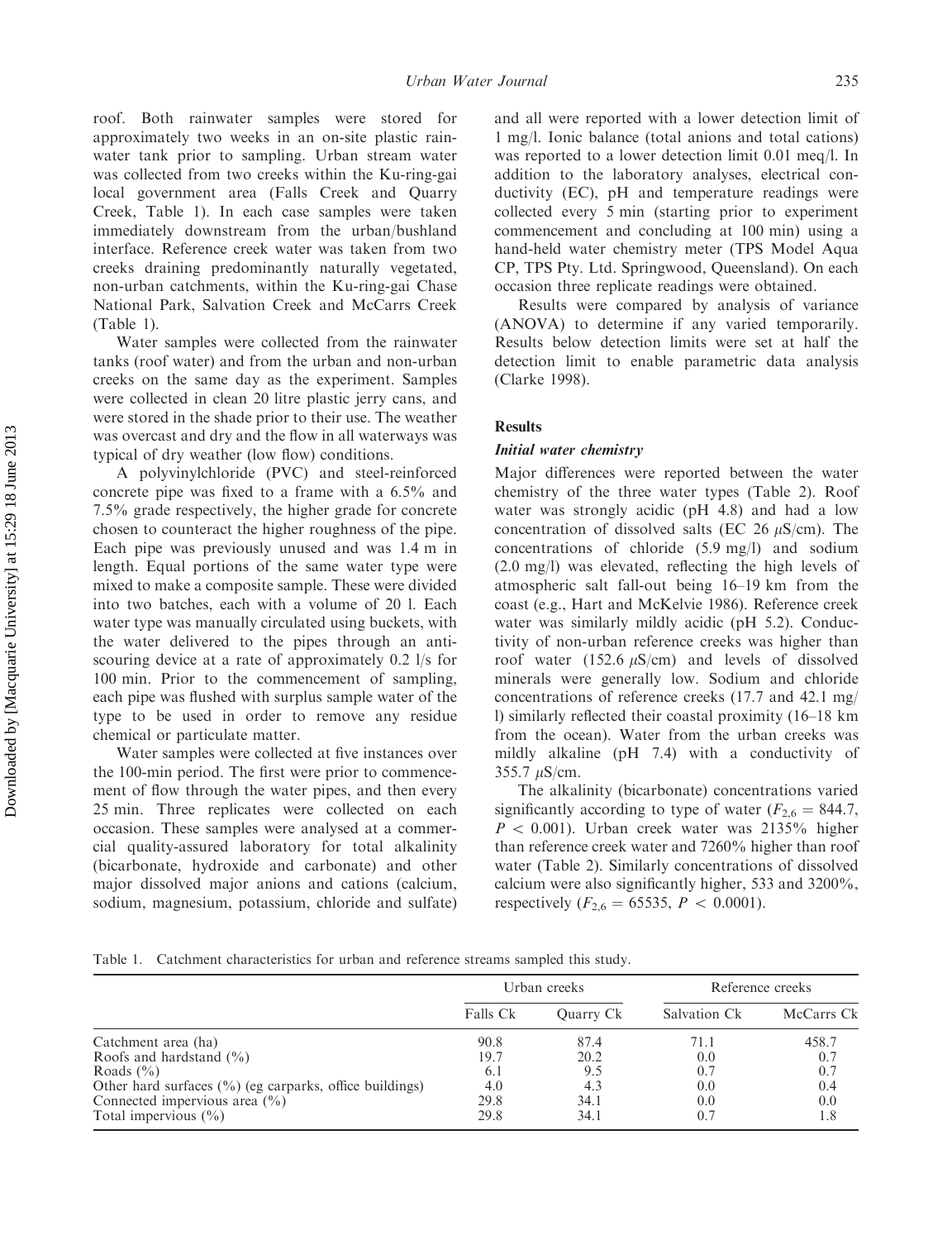roof. Both rainwater samples were stored for approximately two weeks in an on-site plastic rainwater tank prior to sampling. Urban stream water was collected from two creeks within the Ku-ring-gai local government area (Falls Creek and Quarry Creek, Table 1). In each case samples were taken immediately downstream from the urban/bushland interface. Reference creek water was taken from two creeks draining predominantly naturally vegetated, non-urban catchments, within the Ku-ring-gai Chase National Park, Salvation Creek and McCarrs Creek (Table 1).

Water samples were collected from the rainwater tanks (roof water) and from the urban and non-urban creeks on the same day as the experiment. Samples were collected in clean 20 litre plastic jerry cans, and were stored in the shade prior to their use. The weather was overcast and dry and the flow in all waterways was typical of dry weather (low flow) conditions.

A polyvinylchloride (PVC) and steel-reinforced concrete pipe was fixed to a frame with a 6.5% and 7.5% grade respectively, the higher grade for concrete chosen to counteract the higher roughness of the pipe. Each pipe was previously unused and was 1.4 m in length. Equal portions of the same water type were mixed to make a composite sample. These were divided into two batches, each with a volume of 20 l. Each water type was manually circulated using buckets, with the water delivered to the pipes through an antiscouring device at a rate of approximately 0.2 l/s for 100 min. Prior to the commencement of sampling, each pipe was flushed with surplus sample water of the type to be used in order to remove any residue chemical or particulate matter.

Water samples were collected at five instances over the 100-min period. The first were prior to commencement of flow through the water pipes, and then every 25 min. Three replicates were collected on each occasion. These samples were analysed at a commercial quality-assured laboratory for total alkalinity (bicarbonate, hydroxide and carbonate) and other major dissolved major anions and cations (calcium, sodium, magnesium, potassium, chloride and sulfate)

and all were reported with a lower detection limit of 1 mg/l. Ionic balance (total anions and total cations) was reported to a lower detection limit 0.01 meq/l. In addition to the laboratory analyses, electrical conductivity (EC), pH and temperature readings were collected every 5 min (starting prior to experiment commencement and concluding at 100 min) using a hand-held water chemistry meter (TPS Model Aqua CP, TPS Pty. Ltd. Springwood, Queensland). On each occasion three replicate readings were obtained.

Results were compared by analysis of variance (ANOVA) to determine if any varied temporarily. Results below detection limits were set at half the detection limit to enable parametric data analysis (Clarke 1998).

#### Results

#### Initial water chemistry

Major differences were reported between the water chemistry of the three water types (Table 2). Roof water was strongly acidic (pH 4.8) and had a low concentration of dissolved salts (EC 26  $\mu$ S/cm). The concentrations of chloride (5.9 mg/l) and sodium (2.0 mg/l) was elevated, reflecting the high levels of atmospheric salt fall-out being 16–19 km from the coast (e.g., Hart and McKelvie 1986). Reference creek water was similarly mildly acidic (pH 5.2). Conductivity of non-urban reference creeks was higher than roof water (152.6  $\mu$ S/cm) and levels of dissolved minerals were generally low. Sodium and chloride concentrations of reference creeks (17.7 and 42.1 mg/ l) similarly reflected their coastal proximity (16–18 km from the ocean). Water from the urban creeks was mildly alkaline (pH 7.4) with a conductivity of  $355.7 \mu S/cm$ .

The alkalinity (bicarbonate) concentrations varied significantly according to type of water ( $F_{2,6} = 844.7$ ,  $P < 0.001$ ). Urban creek water was 2135% higher than reference creek water and 7260% higher than roof water (Table 2). Similarly concentrations of dissolved calcium were also significantly higher, 533 and 3200%, respectively ( $F_{2,6} = 65535$ ,  $P < 0.0001$ ).

Table 1. Catchment characteristics for urban and reference streams sampled this study.

|                                                                     |          | Urban creeks | Reference creeks |            |  |
|---------------------------------------------------------------------|----------|--------------|------------------|------------|--|
|                                                                     | Falls Ck | Ouarry Ck    | Salvation Ck     | McCarrs Ck |  |
| Catchment area (ha)                                                 | 90.8     | 87.4         | 71.1             | 458.7      |  |
| Roofs and hardstand $(\% )$                                         | 19.7     | 20.2         | 0.0              | 0.7        |  |
| Roads $(\% )$                                                       | 6.1      | 9.5          | 0.7              | 0.7        |  |
| Other hard surfaces $(\frac{6}{6})$ (eg carparks, office buildings) | 4.0      | 4.3          | 0.0              | 0.4        |  |
| Connected impervious area $(\frac{6}{6})$                           | 29.8     | 34.1         | 0.0              | 0.0        |  |
| Total impervious $(\% )$                                            | 29.8     | 34.1         | 0.7              | 1.8        |  |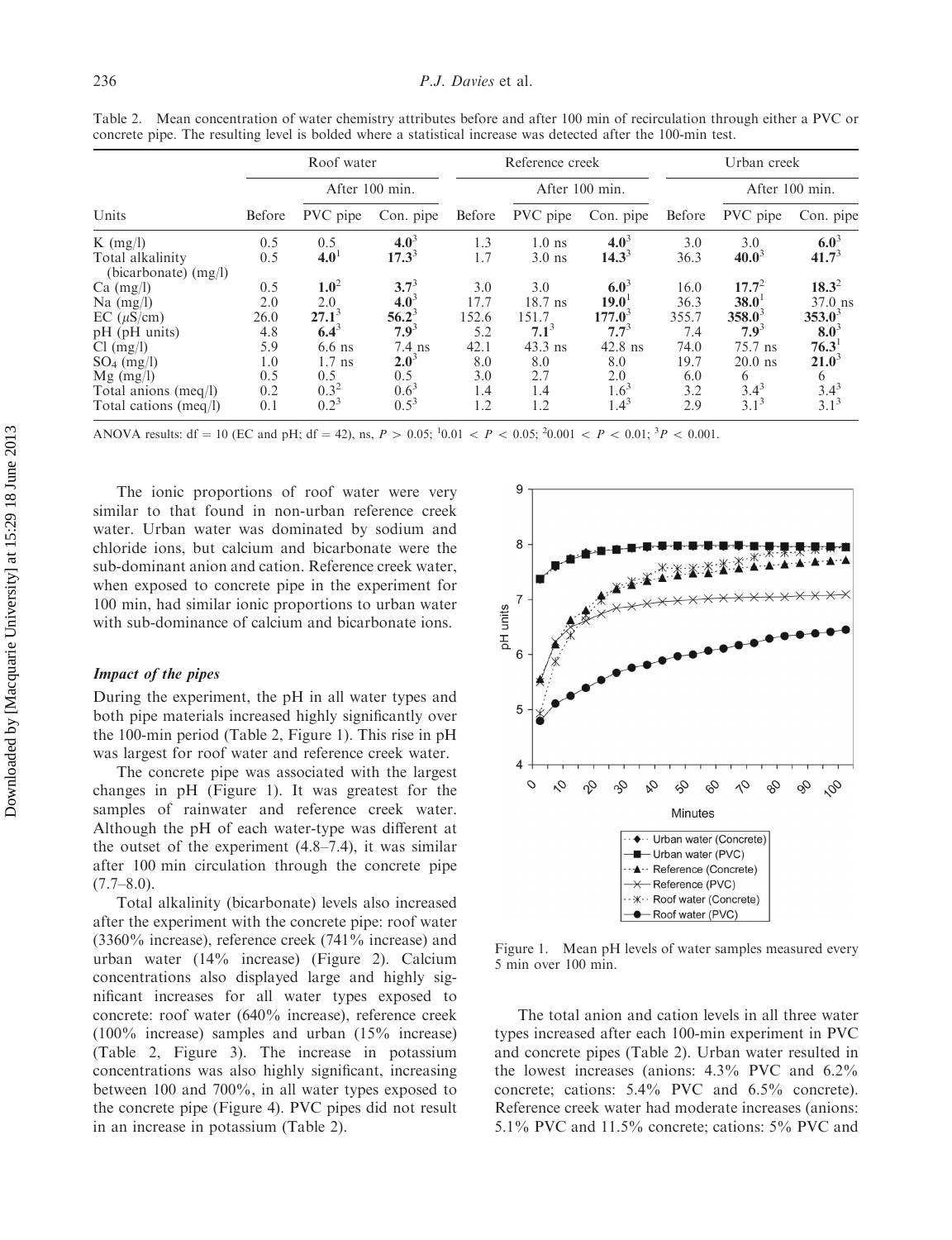|                                            | Roof water     |                  |           |        | Reference creek |                | Urban creek |                |                   |
|--------------------------------------------|----------------|------------------|-----------|--------|-----------------|----------------|-------------|----------------|-------------------|
|                                            | After 100 min. |                  |           |        |                 | After 100 min. |             | After 100 min. |                   |
| Units                                      | Before         | PVC pipe         | Con. pipe | Before | PVC pipe        | Con. pipe      | Before      | PVC pipe       | Con. pipe         |
| K $(mg/l)$                                 | 0.5            | 0.5              | $4.0^3$   | 1.3    | $1.0$ ns        | $4.0^{3}$      | 3.0         | 3.0            | $6.0^3$           |
| Total alkalinity<br>(bicarbonate) $(mg/l)$ | 0.5            | 4.0 <sup>1</sup> | $17.3^3$  | 1.7    | $3.0$ ns        | $14.3^{3}$     | 36.3        | $40.0^3$       | 41.7 <sup>3</sup> |
| $Ca \ (mg/l)$                              | 0.5            | $1.0^2$          | $3.7^{3}$ | 3.0    | 3.0             | $6.0^3$        | 16.0        | $17.7^2$       | $18.3^2$          |
| Na $(mg/l)$                                | 2.0            | 2.0              | $4.0^3$   | 17.7   | $18.7$ ns       | $19.0^{\circ}$ | 36.3        | $38.0^1$       | $37.0$ ns         |
| $EC (\mu S/cm)$                            | 26.0           | $27.1^{3}$       | $56.2^3$  | 152.6  | 151.7           | $177.0^3$      | 355.7       | $358.0^3$      | $353.0^3$         |
| $pH$ ( $pH$ units)                         | 4.8            | $6.4^{3}$        | $7.9^3$   | 5.2    | $7.1^3$         | $7.7^{3}$      | 7.4         | $7.9^3$        | $8.0^3$           |
| $Cl$ (mg/l)                                | 5.9            | $6.6$ ns         | $7.4$ ns  | 42.1   | $43.3$ ns       | $42.8$ ns      | 74.0        | 75.7 ns        | $76.3^{\circ}$    |
| $SO_4$ (mg/l)                              | 1.0            | $1.7$ ns         | $2.0^3$   | 8.0    | 8.0             | 8.0            | 19.7        | $20.0$ ns      | $21.0^3$          |
| $Mg$ (mg/l)                                | 0.5            | 0.5              | 0.5       | 3.0    | 2.7             | 2.0            | 6.0         | 6              | 6                 |
| Total anions $(meq/l)$                     | 0.2            | $0.3^2$          | $0.6^3$   | 1.4    | 1.4             | $1.6^3$        | 3.2         | $3.4^{3}$      | $3.4^{3}$         |
| Total cations (meg/l)                      | 0.1            | $0.2^3$          | $0.5^3$   | 1.2    | 1.2             | $1.4^{3}$      | 2.9         | $3.1^{3}$      | $3.1^{3}$         |

Table 2. Mean concentration of water chemistry attributes before and after 100 min of recirculation through either a PVC or concrete pipe. The resulting level is bolded where a statistical increase was detected after the 100-min test.

ANOVA results: df = 10 (EC and pH; df = 42), ns,  $P > 0.05$ ; <sup>1</sup>0.01 <  $P < 0.05$ ; <sup>2</sup>0.001 <  $P < 0.01$ ; <sup>3</sup> $P < 0.001$ .

The ionic proportions of roof water were very similar to that found in non-urban reference creek water. Urban water was dominated by sodium and chloride ions, but calcium and bicarbonate were the sub-dominant anion and cation. Reference creek water, when exposed to concrete pipe in the experiment for 100 min, had similar ionic proportions to urban water with sub-dominance of calcium and bicarbonate ions.

### Impact of the pipes

During the experiment, the pH in all water types and both pipe materials increased highly significantly over the 100-min period (Table 2, Figure 1). This rise in pH was largest for roof water and reference creek water.

The concrete pipe was associated with the largest changes in pH (Figure 1). It was greatest for the samples of rainwater and reference creek water. Although the pH of each water-type was different at the outset of the experiment (4.8–7.4), it was similar after 100 min circulation through the concrete pipe  $(7.7–8.0)$ .

Total alkalinity (bicarbonate) levels also increased after the experiment with the concrete pipe: roof water (3360% increase), reference creek (741% increase) and urban water (14% increase) (Figure 2). Calcium concentrations also displayed large and highly significant increases for all water types exposed to concrete: roof water (640% increase), reference creek (100% increase) samples and urban (15% increase) (Table 2, Figure 3). The increase in potassium concentrations was also highly significant, increasing between 100 and 700%, in all water types exposed to the concrete pipe (Figure 4). PVC pipes did not result in an increase in potassium (Table 2).



Figure 1. Mean pH levels of water samples measured every 5 min over 100 min.

The total anion and cation levels in all three water types increased after each 100-min experiment in PVC and concrete pipes (Table 2). Urban water resulted in the lowest increases (anions: 4.3% PVC and 6.2% concrete; cations: 5.4% PVC and 6.5% concrete). Reference creek water had moderate increases (anions: 5.1% PVC and 11.5% concrete; cations: 5% PVC and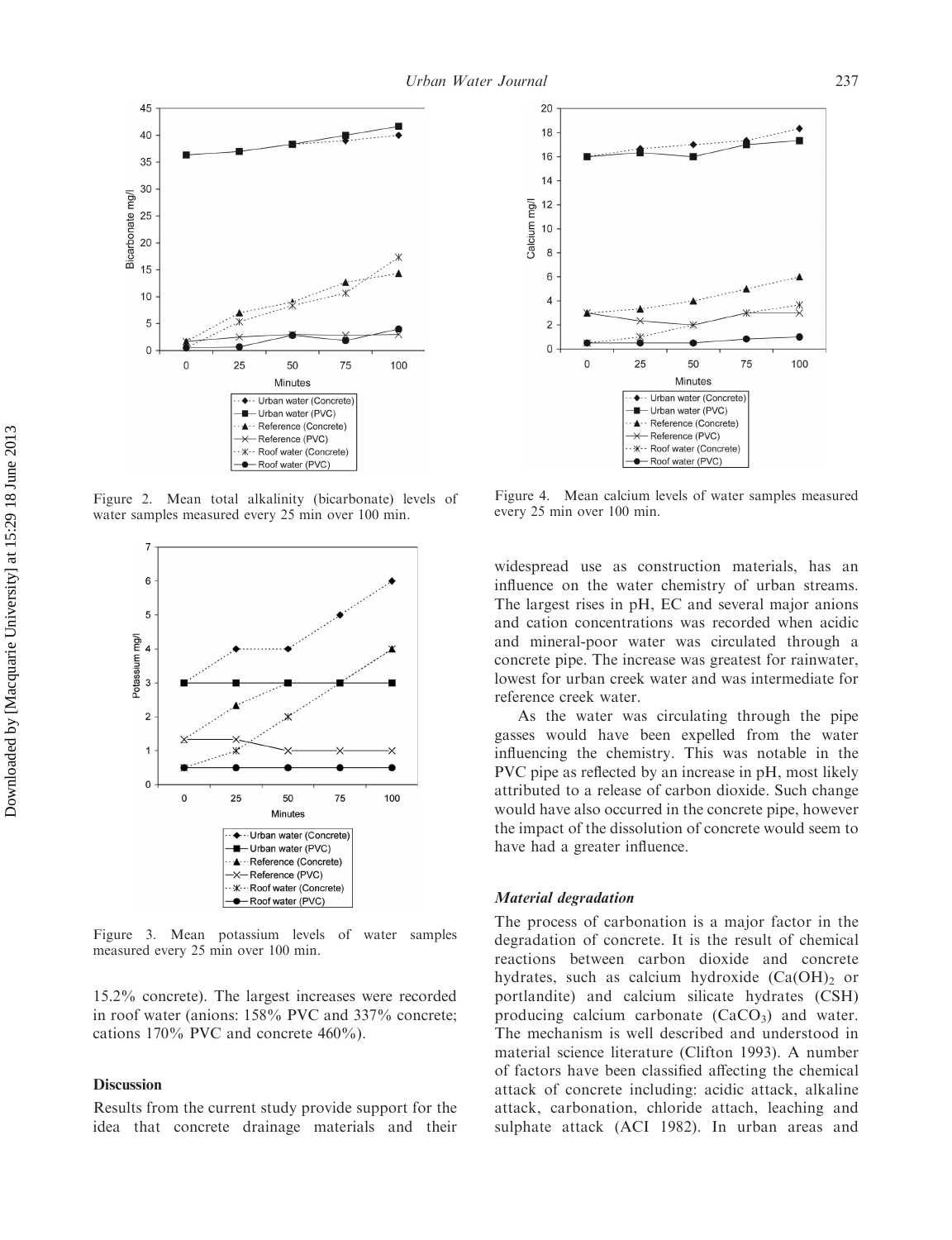

Figure 2. Mean total alkalinity (bicarbonate) levels of water samples measured every 25 min over 100 min.



Figure 3. Mean potassium levels of water samples measured every 25 min over 100 min.

15.2% concrete). The largest increases were recorded in roof water (anions: 158% PVC and 337% concrete; cations 170% PVC and concrete 460%).

### **Discussion**

Results from the current study provide support for the idea that concrete drainage materials and their



Figure 4. Mean calcium levels of water samples measured every 25 min over 100 min.

widespread use as construction materials, has an influence on the water chemistry of urban streams. The largest rises in pH, EC and several major anions and cation concentrations was recorded when acidic and mineral-poor water was circulated through a concrete pipe. The increase was greatest for rainwater, lowest for urban creek water and was intermediate for reference creek water.

As the water was circulating through the pipe gasses would have been expelled from the water influencing the chemistry. This was notable in the PVC pipe as reflected by an increase in pH, most likely attributed to a release of carbon dioxide. Such change would have also occurred in the concrete pipe, however the impact of the dissolution of concrete would seem to have had a greater influence.

#### Material degradation

The process of carbonation is a major factor in the degradation of concrete. It is the result of chemical reactions between carbon dioxide and concrete hydrates, such as calcium hydroxide  $(Ca(OH))<sub>2</sub>$  or portlandite) and calcium silicate hydrates (CSH) producing calcium carbonate  $(CaCO<sub>3</sub>)$  and water. The mechanism is well described and understood in material science literature (Clifton 1993). A number of factors have been classified affecting the chemical attack of concrete including: acidic attack, alkaline attack, carbonation, chloride attach, leaching and sulphate attack (ACI 1982). In urban areas and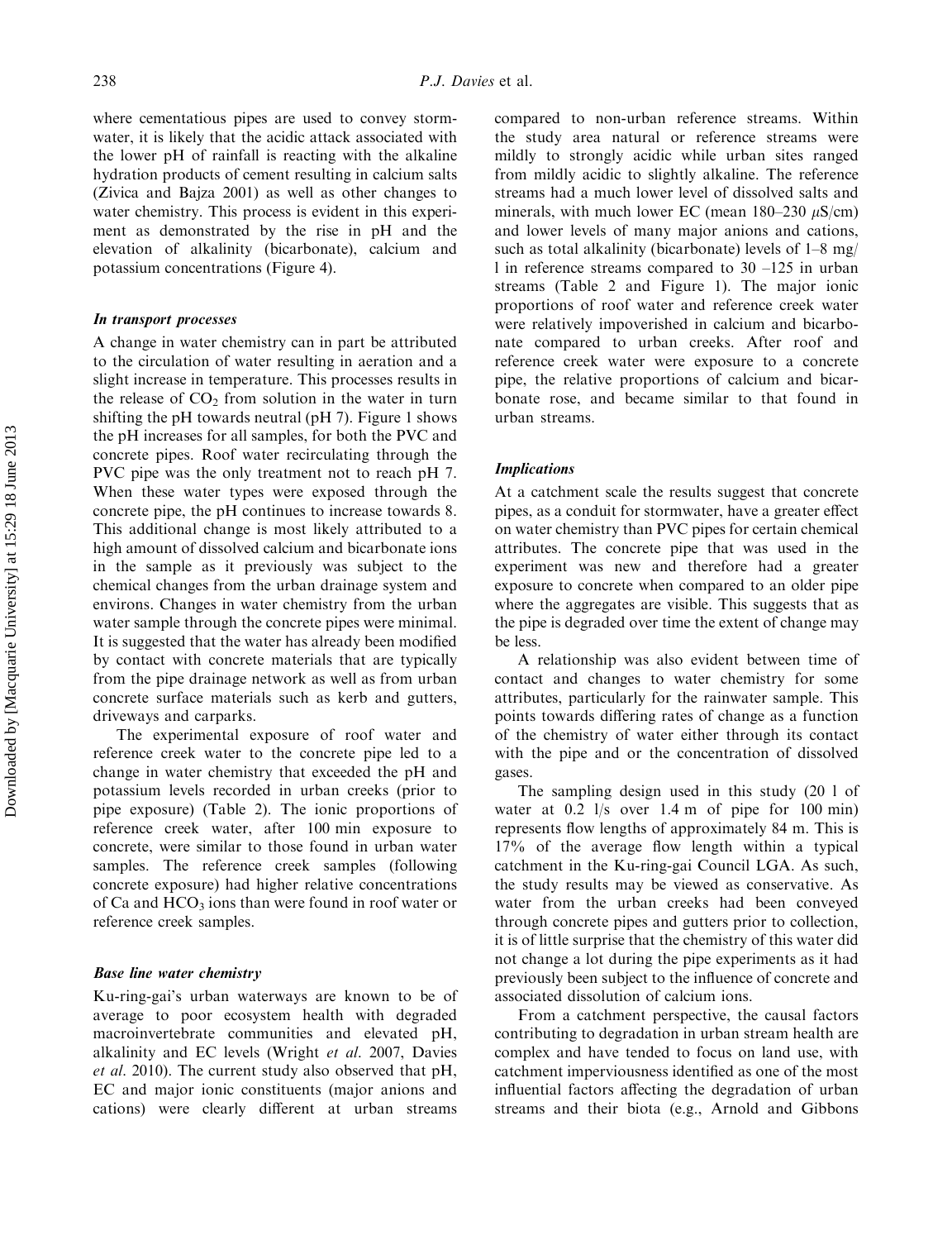where cementatious pipes are used to convey stormwater, it is likely that the acidic attack associated with the lower pH of rainfall is reacting with the alkaline hydration products of cement resulting in calcium salts (Zivica and Bajza 2001) as well as other changes to water chemistry. This process is evident in this experiment as demonstrated by the rise in pH and the elevation of alkalinity (bicarbonate), calcium and potassium concentrations (Figure 4).

#### In transport processes

A change in water chemistry can in part be attributed to the circulation of water resulting in aeration and a slight increase in temperature. This processes results in the release of  $CO<sub>2</sub>$  from solution in the water in turn shifting the pH towards neutral (pH 7). Figure 1 shows the pH increases for all samples, for both the PVC and concrete pipes. Roof water recirculating through the PVC pipe was the only treatment not to reach pH 7. When these water types were exposed through the concrete pipe, the pH continues to increase towards 8. This additional change is most likely attributed to a high amount of dissolved calcium and bicarbonate ions in the sample as it previously was subject to the chemical changes from the urban drainage system and environs. Changes in water chemistry from the urban water sample through the concrete pipes were minimal. It is suggested that the water has already been modified by contact with concrete materials that are typically from the pipe drainage network as well as from urban concrete surface materials such as kerb and gutters, driveways and carparks.

The experimental exposure of roof water and reference creek water to the concrete pipe led to a change in water chemistry that exceeded the pH and potassium levels recorded in urban creeks (prior to pipe exposure) (Table 2). The ionic proportions of reference creek water, after 100 min exposure to concrete, were similar to those found in urban water samples. The reference creek samples (following concrete exposure) had higher relative concentrations of Ca and  $HCO<sub>3</sub>$  ions than were found in roof water or reference creek samples.

#### Base line water chemistry

Ku-ring-gai's urban waterways are known to be of average to poor ecosystem health with degraded macroinvertebrate communities and elevated pH, alkalinity and EC levels (Wright et al. 2007, Davies et al. 2010). The current study also observed that pH, EC and major ionic constituents (major anions and cations) were clearly different at urban streams

compared to non-urban reference streams. Within the study area natural or reference streams were mildly to strongly acidic while urban sites ranged from mildly acidic to slightly alkaline. The reference streams had a much lower level of dissolved salts and minerals, with much lower EC (mean  $180-230 \mu S/cm$ ) and lower levels of many major anions and cations, such as total alkalinity (bicarbonate) levels of 1–8 mg/ l in reference streams compared to 30 –125 in urban streams (Table 2 and Figure 1). The major ionic proportions of roof water and reference creek water were relatively impoverished in calcium and bicarbonate compared to urban creeks. After roof and reference creek water were exposure to a concrete pipe, the relative proportions of calcium and bicarbonate rose, and became similar to that found in urban streams.

#### Implications

At a catchment scale the results suggest that concrete pipes, as a conduit for stormwater, have a greater effect on water chemistry than PVC pipes for certain chemical attributes. The concrete pipe that was used in the experiment was new and therefore had a greater exposure to concrete when compared to an older pipe where the aggregates are visible. This suggests that as the pipe is degraded over time the extent of change may be less.

A relationship was also evident between time of contact and changes to water chemistry for some attributes, particularly for the rainwater sample. This points towards differing rates of change as a function of the chemistry of water either through its contact with the pipe and or the concentration of dissolved gases.

The sampling design used in this study (20 l of water at 0.2 l/s over 1.4 m of pipe for 100 min) represents flow lengths of approximately 84 m. This is 17% of the average flow length within a typical catchment in the Ku-ring-gai Council LGA. As such, the study results may be viewed as conservative. As water from the urban creeks had been conveyed through concrete pipes and gutters prior to collection, it is of little surprise that the chemistry of this water did not change a lot during the pipe experiments as it had previously been subject to the influence of concrete and associated dissolution of calcium ions.

From a catchment perspective, the causal factors contributing to degradation in urban stream health are complex and have tended to focus on land use, with catchment imperviousness identified as one of the most influential factors affecting the degradation of urban streams and their biota (e.g., Arnold and Gibbons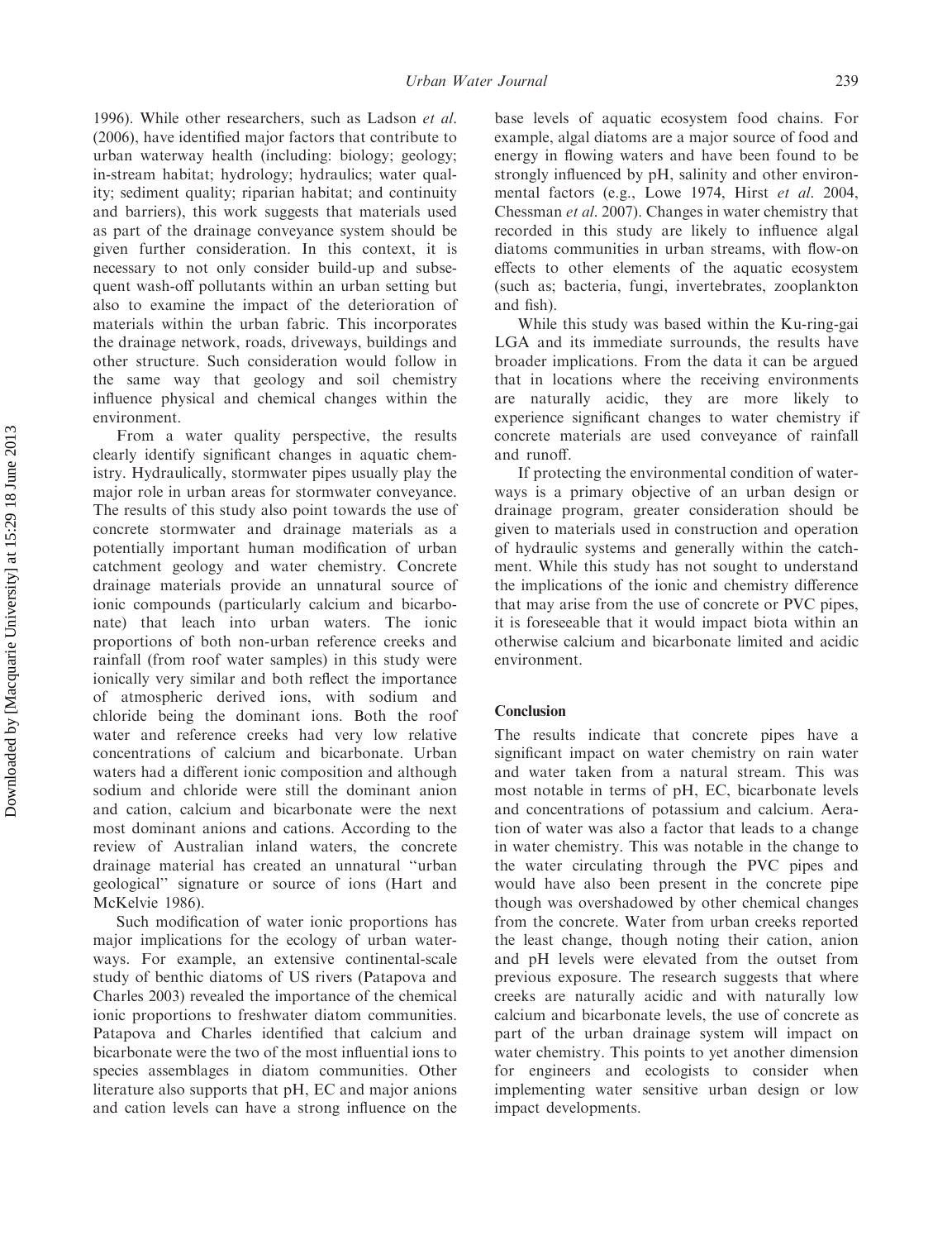1996). While other researchers, such as Ladson et al. (2006), have identified major factors that contribute to urban waterway health (including: biology; geology; in-stream habitat; hydrology; hydraulics; water quality; sediment quality; riparian habitat; and continuity and barriers), this work suggests that materials used as part of the drainage conveyance system should be given further consideration. In this context, it is necessary to not only consider build-up and subsequent wash-off pollutants within an urban setting but also to examine the impact of the deterioration of materials within the urban fabric. This incorporates the drainage network, roads, driveways, buildings and other structure. Such consideration would follow in the same way that geology and soil chemistry influence physical and chemical changes within the environment.

From a water quality perspective, the results clearly identify significant changes in aquatic chemistry. Hydraulically, stormwater pipes usually play the major role in urban areas for stormwater conveyance. The results of this study also point towards the use of concrete stormwater and drainage materials as a potentially important human modification of urban catchment geology and water chemistry. Concrete drainage materials provide an unnatural source of ionic compounds (particularly calcium and bicarbonate) that leach into urban waters. The ionic proportions of both non-urban reference creeks and rainfall (from roof water samples) in this study were ionically very similar and both reflect the importance of atmospheric derived ions, with sodium and chloride being the dominant ions. Both the roof water and reference creeks had very low relative concentrations of calcium and bicarbonate. Urban waters had a different ionic composition and although sodium and chloride were still the dominant anion and cation, calcium and bicarbonate were the next most dominant anions and cations. According to the review of Australian inland waters, the concrete drainage material has created an unnatural ''urban geological'' signature or source of ions (Hart and McKelvie 1986).

Such modification of water ionic proportions has major implications for the ecology of urban waterways. For example, an extensive continental-scale study of benthic diatoms of US rivers (Patapova and Charles 2003) revealed the importance of the chemical ionic proportions to freshwater diatom communities. Patapova and Charles identified that calcium and bicarbonate were the two of the most influential ions to species assemblages in diatom communities. Other literature also supports that pH, EC and major anions and cation levels can have a strong influence on the

base levels of aquatic ecosystem food chains. For example, algal diatoms are a major source of food and energy in flowing waters and have been found to be strongly influenced by pH, salinity and other environmental factors (e.g., Lowe 1974, Hirst et al. 2004, Chessman et al. 2007). Changes in water chemistry that recorded in this study are likely to influence algal diatoms communities in urban streams, with flow-on effects to other elements of the aquatic ecosystem (such as; bacteria, fungi, invertebrates, zooplankton and fish).

While this study was based within the Ku-ring-gai LGA and its immediate surrounds, the results have broader implications. From the data it can be argued that in locations where the receiving environments are naturally acidic, they are more likely to experience significant changes to water chemistry if concrete materials are used conveyance of rainfall and runoff.

If protecting the environmental condition of waterways is a primary objective of an urban design or drainage program, greater consideration should be given to materials used in construction and operation of hydraulic systems and generally within the catchment. While this study has not sought to understand the implications of the ionic and chemistry difference that may arise from the use of concrete or PVC pipes, it is foreseeable that it would impact biota within an otherwise calcium and bicarbonate limited and acidic environment.

### Conclusion

The results indicate that concrete pipes have a significant impact on water chemistry on rain water and water taken from a natural stream. This was most notable in terms of pH, EC, bicarbonate levels and concentrations of potassium and calcium. Aeration of water was also a factor that leads to a change in water chemistry. This was notable in the change to the water circulating through the PVC pipes and would have also been present in the concrete pipe though was overshadowed by other chemical changes from the concrete. Water from urban creeks reported the least change, though noting their cation, anion and pH levels were elevated from the outset from previous exposure. The research suggests that where creeks are naturally acidic and with naturally low calcium and bicarbonate levels, the use of concrete as part of the urban drainage system will impact on water chemistry. This points to yet another dimension for engineers and ecologists to consider when implementing water sensitive urban design or low impact developments.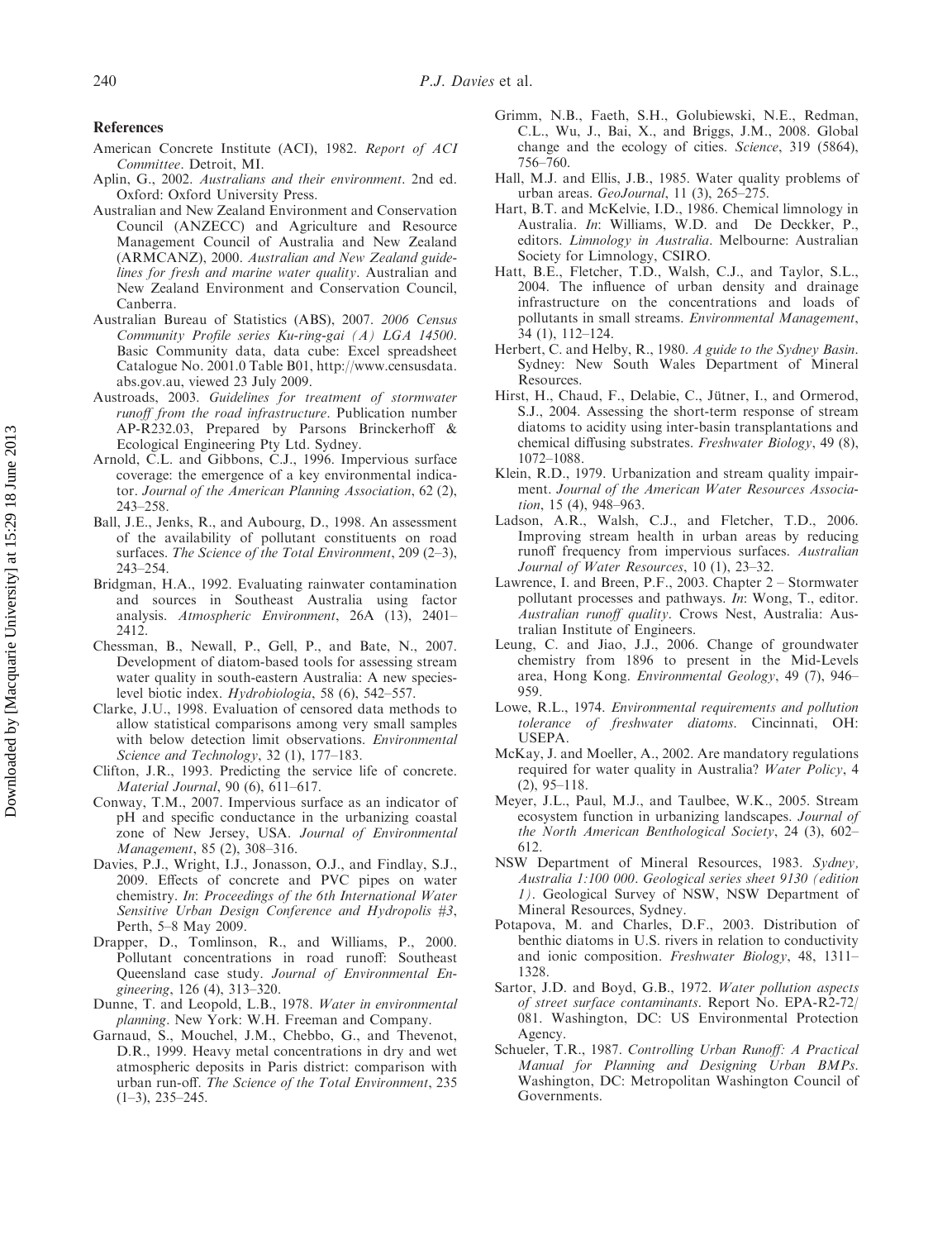#### References

- American Concrete Institute (ACI), 1982. Report of ACI Committee. Detroit, MI.
- Aplin, G., 2002. Australians and their environment. 2nd ed. Oxford: Oxford University Press.
- Australian and New Zealand Environment and Conservation Council (ANZECC) and Agriculture and Resource Management Council of Australia and New Zealand (ARMCANZ), 2000. Australian and New Zealand guidelines for fresh and marine water quality. Australian and New Zealand Environment and Conservation Council, Canberra.
- Australian Bureau of Statistics (ABS), 2007. 2006 Census Community Profile series Ku-ring-gai (A) LGA 14500. Basic Community data, data cube: Excel spreadsheet Catalogue No. 2001.0 Table B01, [http://www.censusdata.](http://www.censusdata.abs.gov.au) [abs.gov.au,](http://www.censusdata.abs.gov.au) viewed 23 July 2009.
- Austroads, 2003. Guidelines for treatment of stormwater runoff from the road infrastructure. Publication number AP-R232.03, Prepared by Parsons Brinckerhoff & Ecological Engineering Pty Ltd. Sydney.
- Arnold, C.L. and Gibbons, C.J., 1996. Impervious surface coverage: the emergence of a key environmental indicator. Journal of the American Planning Association, 62 (2), 243–258.
- Ball, J.E., Jenks, R., and Aubourg, D., 1998. An assessment of the availability of pollutant constituents on road surfaces. The Science of the Total Environment, 209 (2-3), 243–254.
- Bridgman, H.A., 1992. Evaluating rainwater contamination and sources in Southeast Australia using factor analysis. Atmospheric Environment, 26A (13), 2401– 2412.
- Chessman, B., Newall, P., Gell, P., and Bate, N., 2007. Development of diatom-based tools for assessing stream water quality in south-eastern Australia: A new specieslevel biotic index. Hydrobiologia, 58 (6), 542–557.
- Clarke, J.U., 1998. Evaluation of censored data methods to allow statistical comparisons among very small samples with below detection limit observations. Environmental Science and Technology, 32 (1), 177-183.
- Clifton, J.R., 1993. Predicting the service life of concrete. Material Journal, 90 (6), 611–617.
- Conway, T.M., 2007. Impervious surface as an indicator of pH and specific conductance in the urbanizing coastal zone of New Jersey, USA. Journal of Environmental Management, 85 (2), 308–316.
- Davies, P.J., Wright, I.J., Jonasson, O.J., and Findlay, S.J., 2009. Effects of concrete and PVC pipes on water chemistry. In: Proceedings of the 6th International Water Sensitive Urban Design Conference and Hydropolis #3, Perth, 5–8 May 2009.
- Drapper, D., Tomlinson, R., and Williams, P., 2000. Pollutant concentrations in road runoff: Southeast Queensland case study. Journal of Environmental Engineering, 126 (4), 313–320.
- Dunne, T. and Leopold, L.B., 1978. Water in environmental planning. New York: W.H. Freeman and Company.
- Garnaud, S., Mouchel, J.M., Chebbo, G., and Thevenot, D.R., 1999. Heavy metal concentrations in dry and wet atmospheric deposits in Paris district: comparison with urban run-off. The Science of the Total Environment, 235  $(1-3)$ , 235–245.
- Grimm, N.B., Faeth, S.H., Golubiewski, N.E., Redman, C.L., Wu, J., Bai, X., and Briggs, J.M., 2008. Global change and the ecology of cities. Science, 319 (5864), 756–760.
- Hall, M.J. and Ellis, J.B., 1985. Water quality problems of urban areas. GeoJournal, 11 (3), 265–275.
- Hart, B.T. and McKelvie, I.D., 1986. Chemical limnology in Australia. In: Williams, W.D. and De Deckker, P., editors. Limnology in Australia. Melbourne: Australian Society for Limnology, CSIRO.
- Hatt, B.E., Fletcher, T.D., Walsh, C.J., and Taylor, S.L., 2004. The influence of urban density and drainage infrastructure on the concentrations and loads of pollutants in small streams. Environmental Management, 34 (1), 112–124.
- Herbert, C. and Helby, R., 1980. A guide to the Sydney Basin. Sydney: New South Wales Department of Mineral Resources.
- Hirst, H., Chaud, F., Delabie, C., Jütner, I., and Ormerod, S.J., 2004. Assessing the short-term response of stream diatoms to acidity using inter-basin transplantations and chemical diffusing substrates. Freshwater Biology, 49 (8), 1072–1088.
- Klein, R.D., 1979. Urbanization and stream quality impairment. Journal of the American Water Resources Association, 15 (4), 948–963.
- Ladson, A.R., Walsh, C.J., and Fletcher, T.D., 2006. Improving stream health in urban areas by reducing runoff frequency from impervious surfaces. Australian Journal of Water Resources, 10 (1), 23–32.
- Lawrence, I. and Breen, P.F., 2003. Chapter 2 Stormwater pollutant processes and pathways. In: Wong, T., editor. Australian runoff quality. Crows Nest, Australia: Australian Institute of Engineers.
- Leung, C. and Jiao, J.J., 2006. Change of groundwater chemistry from 1896 to present in the Mid-Levels area, Hong Kong. Environmental Geology, 49 (7), 946– 959.
- Lowe, R.L., 1974. Environmental requirements and pollution tolerance of freshwater diatoms. Cincinnati, OH: USEPA.
- McKay, J. and Moeller, A., 2002. Are mandatory regulations required for water quality in Australia? Water Policy, 4 (2), 95–118.
- Meyer, J.L., Paul, M.J., and Taulbee, W.K., 2005. Stream ecosystem function in urbanizing landscapes. Journal of the North American Benthological Society, 24 (3), 602– 612.
- NSW Department of Mineral Resources, 1983. Sydney, Australia 1:100 000. Geological series sheet 9130 (edition 1). Geological Survey of NSW, NSW Department of Mineral Resources, Sydney.
- Potapova, M. and Charles, D.F., 2003. Distribution of benthic diatoms in U.S. rivers in relation to conductivity and ionic composition. Freshwater Biology, 48, 1311– 1328.
- Sartor, J.D. and Boyd, G.B., 1972. Water pollution aspects of street surface contaminants. Report No. EPA-R2-72/ 081. Washington, DC: US Environmental Protection Agency.
- Schueler, T.R., 1987. Controlling Urban Runoff: A Practical Manual for Planning and Designing Urban BMPs. Washington, DC: Metropolitan Washington Council of Governments.